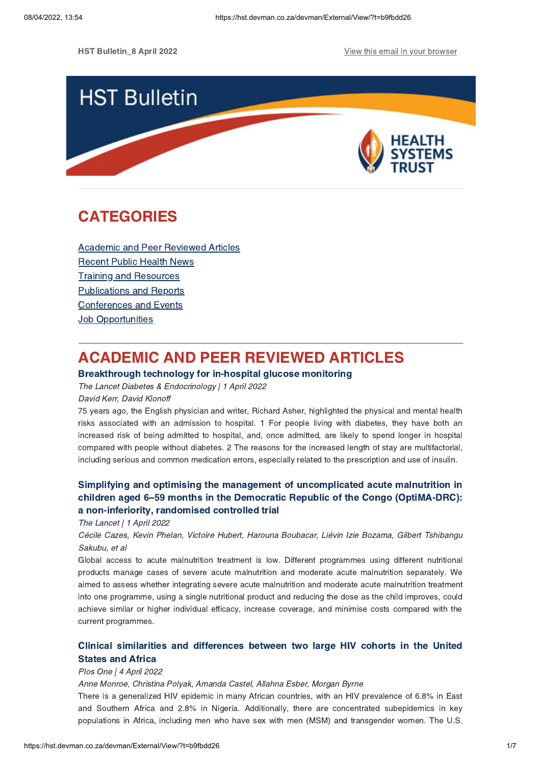**HST Bulletin\_8 April 2022** April 2022 Apple 10 April 2022 View this email in your [browser](https://hst.devman.co.za/devman/external/?t=a61b3e94&t1=b9fbdd26)



# **CATEGORIES** CATEGORIES<br>CATEGORIES

Academic and Peer [Reviewed](#page-0-0) Articles [Recent](#page-1-0) Public Health News Training and Resources [Publications](#page-4-0) and Reports [Conferences](#page-5-0) and Events **Job [Opportunities](#page-6-0)** 

# <span id="page-0-0"></span>**ACADEMIC AND PEER REVIEWED ARTICLES**

## Breakthrough technology for in-hospital glucose monitoring

The Lancet Diabetes & Endocrinology | 1 April 2022

### David Kerr, David Klonoff

75 years ago, the English physician and writer, Richard Asher, highlighted the physical and mental health risks associated with an admission to hospital. 1 For people living with diabetes, they have both an increased risk of being admitted to hospital, and, once admitted, are likely to spend longer in hospital compared with people without diabetes. 2 The reasons for the increased length of stay are multifactorial, including serious and common medication errors, especially related to the prescription and use of insulin.

# Simplifying and optimising the management of [uncomplicated](https://hst.devman.co.za/devman/external/?t=db8ba5c6) acute malnutrition in children aged 6–59 months in the Democratic Republic of the Congo (OptiMA-DRC):

a non-inferiority, randomised controlled trial The Lancet | 1 April 2022

Cécile Cazes, Kevin Phelan, Victoire Hubert, Harouna Boubacar, Liévin Izie Bozama, Gilbert Tshibangu Sakubu, et al

Global access to acute malnutrition treatment is low. Different programmes using different nutritional products manage cases of severe acute malnutrition and moderate acute malnutrition separately. We aimed to assess whether integrating severe acute malnutrition and moderate acute malnutrition treatment into one programme, using a single nutritional product and reducing the dose as the child improves, could achieve similar or higher individual efficacy, increase coverage, and minimise costs compared with the current programmes.

# Clinical similarities and [differences](https://hst.devman.co.za/devman/external/?t=2c5cf067) between two large HIV cohorts in the United

# States and Africa Plos One | 4 April 2022

Anne Monroe, Christina Polyak, Amanda Castel, Allahna Esber, Morgan Byrne

There is a generalized HIV epidemic in many African countries, with an HIV prevalence of 6.8% in East and Southern Africa and 2.8% in Nigeria. Additionally, there are concentrated subepidemics in key populations in Africa, including men who have sex with men (MSM) and transgender women. The U.S.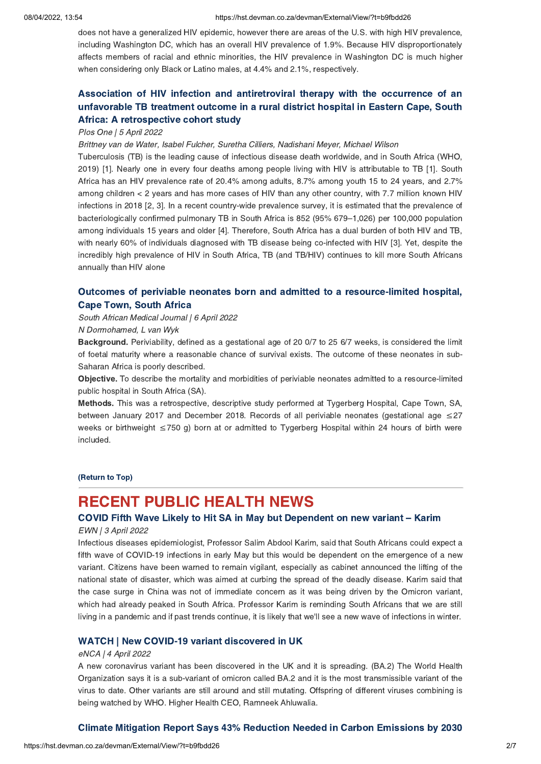does not have a generalized HIV epidemic, however there are areas of the U.S. with high HIV prevalence, including Washington DC, which has an overall HIV prevalence of 1.9%. Because HIV disproportionately affects members of racial and ethnic minorities, the HIV prevalence in Washington DC is much higher when considering only Black or Latino males, at 4.4% and 2.1%, respectively.

# Association of HIV infection and [antiretroviral](https://hst.devman.co.za/devman/external/?t=ebc2af49) therapy with the occurrence of an unfavorable TB treatment outcome in a rural district hospital in Eastern Cape, South Africa: A retrospective cohort study

## Africa: A retrospective cohort study Plos One | 5 April 2022

Brittney van de Water, Isabel Fulcher, Suretha Cilliers, Nadishani Meyer, Michael Wilson

Tuberculosis (TB) is the leading cause of infectious disease death worldwide, and in South Africa (WHO, 2019) [1]. Nearly one in every four deaths among people living with HIV is attributable to TB [1]. South Africa has an HIV prevalence rate of 20.4% among adults, 8.7% among youth 15 to 24 years, and 2.7% among children < 2 years and has more cases of HIV than any other country, with 7.7 million known HIV infections in 2018 [2, 3]. In a recent country-wide prevalence survey, it is estimated that the prevalence of bacteriologically confirmed pulmonary TB in South Africa is 852 (95% 679–1,026) per 100,000 population among individuals 15 years and older [4]. Therefore, South Africa has a dual burden of both HIV and TB, with nearly 60% of individuals diagnosed with TB disease being co-infected with HIV [3]. Yet, despite the incredibly high prevalence of HIV in South Africa, TB (and TB/HIV) continues to kill more South Africans annually than HIV alone

# Outcomes of periviable neonates born and admitted to a [resource-limited](https://hst.devman.co.za/devman/external/?t=3c93f9ea) hospital,

South African Medical Journal | 6 April 2022

### N Dormohamed, L van Wyk

Background. Periviability, defined as <sup>a</sup> gestational age of <sup>20</sup> 0/7 to <sup>25</sup> 6/7 weeks, is considered the limit of foetal maturity where a reasonable chance of survival exists. The outcome of these neonates in sub-Saharan Africa is poorly described.

Objective. To describe the mortality and morbidities of periviable neonates admitted to <sup>a</sup> resource-limited public hospital in South Africa (SA).

Methods. This was <sup>a</sup> retrospective, descriptive study performed at Tygerberg Hospital, Cape Town, SA, between January 2017 and December 2018. Records of all periviable neonates (gestational age ≤27 weeks or birthweight ≤750 g) born at or admitted to Tygerberg Hospital within 24 hours of birth were included.

(Return to Top)

# <span id="page-1-0"></span>COVID Fifth Wave Likely to Hit SA in May but Dependent on new variant – Karim<br>EWN | 3 April 2022

### EWN | 3 April 2022

Infectious diseases epidemiologist, Professor Salim Abdool Karim, said that South Africans could expect a fifth wave of COVID-19 infections in early May but this would be dependent on the emergence of a new variant. Citizens have been warned to remain vigilant, especially as cabinet announced the lifting of the national state of disaster, which was aimed at curbing the spread of the deadly disease. Karim said that the case surge in China was not of immediate concern as it was being driven by the Omicron variant, which had already peaked in South Africa. Professor Karim is reminding South Africans that we are still living in a pandemic and if past trends continue, it is likely that we'll see a new wave of infections in winter.

## where the process of the the community discovered in Section 1994.<br>
eNCA | 4 April 2022

A new coronavirus variant has been discovered in the UK and it is spreading. (BA.2) The World Health Organization says it is a sub-variant of omicron called BA.2 and it is the most transmissible variant of the virus to date. Other variants are still around and still mutating. Offspring of different viruses combining is being watched by WHO. Higher Health CEO, Ramneek Ahluwalia.

# Climate Mitigation Report Says 43% Reduction Needed in Carbon Emissions by 2030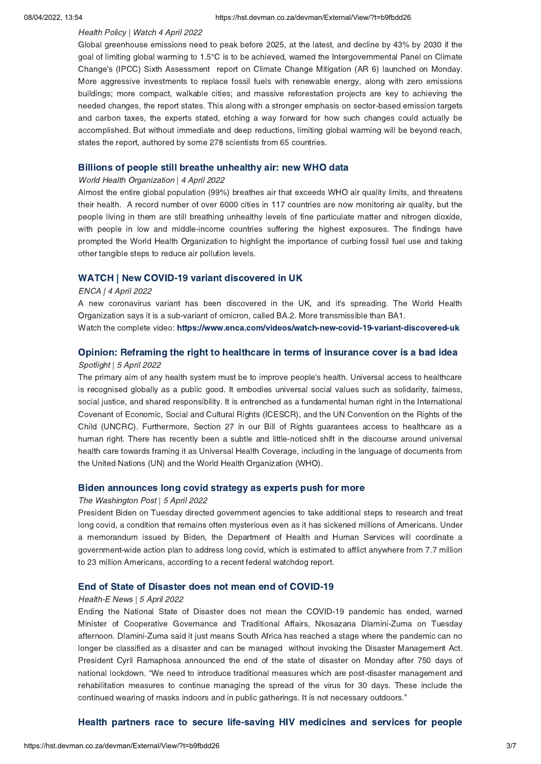### Health Policy | Watch 4 April 2022

Global greenhouse emissions need to peak before 2025, at the latest, and decline by 43% by 2030 if the goal of limiting global warming to 1.5°C is to be achieved, warned the Intergovernmental Panel on Climate Change's (IPCC) Sixth Assessment report on Climate Change Mitigation (AR 6) launched on Monday. More aggressive investments to replace fossil fuels with renewable energy, along with zero emissions buildings; more compact, walkable cities; and massive reforestation projects are key to achieving the needed changes, the report states. This along with a stronger emphasis on sector-based emission targets and carbon taxes, the experts stated, etching a way forward for how such changes could actually be accomplished. But without immediate and deep reductions, limiting global warming will be beyond reach, states the report, authored by some 278 scientists from 65 countries.

## Billions of people still breathe unhealthy air: new WHO data World Health Organization | 4 April 2022

Almost the entire global population (99%) breathes air that exceeds WHO air quality limits, and threatens their health. A record number of over 6000 cities in 117 countries are now monitoring air quality, but the people living in them are still breathing unhealthy levels of fine particulate matter and nitrogen dioxide, with people in low and middle-income countries suffering the highest exposures. The findings have prompted the World Health Organization to highlight the importance of curbing fossil fuel use and taking other tangible steps to reduce air pollution levels.

## WATCH | New COVID-19 variant discovered in UK ENCA | 4 April 2022

A new coronavirus variant has been discovered in the UK, and it's spreading. The World Health Organization says it is a sub-variant of omicron, called BA.2. More transmissible than BA1.

Watch the complete video: https://www.enca.com/videos/watch-new-covid-19-variant-discovered-uk

# Opinion: Reframing the right to healthcare in terms of insurance cover is a bad idea Spotlight | 5 April 2022

The primary aim of any health system must be to improve people's health. Universal access to healthcare is recognised globally as a public good. It embodies universal social values such as solidarity, fairness, social justice, and shared responsibility. It is entrenched as a fundamental human right in the International Covenant of Economic, Social and Cultural Rights (ICESCR), and the UN Convention on the Rights of the Child (UNCRC). Furthermore, Section 27 in our Bill of Rights guarantees access to healthcare as a human right. There has recently been a subtle and little-noticed shift in the discourse around universal health care towards framing it as Universal Health Coverage, including in the language of documents from the United Nations (UN) and the World Health Organization (WHO).

## Biden announces long covid strategy as experts push for more The Washington Post | 5 April 2022

President Biden on Tuesday directed government agencies to take additional steps to research and treat long covid, a condition that remains often mysterious even as it has sickened millions of Americans. Under a memorandum issued by Biden, the Department of Health and Human Services will coordinate a government-wide action plan to address long covid, which is estimated to afflict anywhere from 7.7 million to 23 million Americans, according to a recent federal watchdog report.

## End of State of Disaster does not mean end of COVID-19 Health-E News | 5 April 2022

Ending the National State of Disaster does not mean the COVID-19 pandemic has ended, warned Minister of Cooperative Governance and Traditional Affairs, Nkosazana Dlamini-Zuma on Tuesday afternoon. Dlamini-Zuma said it just means South Africa has reached a stage where the pandemic can no longer be classified as a disaster and can be managed without invoking the Disaster Management Act. President Cyril Ramaphosa announced the end of the state of disaster on Monday after 750 days of national lockdown. "We need to introduce traditional measures which are post-disaster management and rehabilitation measures to continue managing the spread of the virus for 30 days. These include the continued wearing of masks indoors and in public gatherings. It is not necessary outdoors."

# $\mathbf{H}$  partners race to secure [life-saving](https://hst.devman.co.za/devman/external/?t=e2f456e2) HIV medicines for people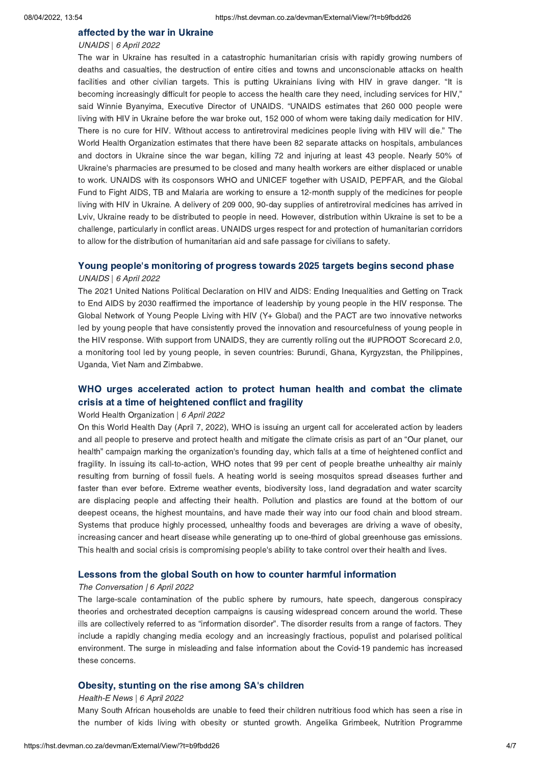# affected by the war in Ukraine UNAIDS | 6 April 2022

The war in Ukraine has resulted in a catastrophic humanitarian crisis with rapidly growing numbers of deaths and casualties, the destruction of entire cities and towns and unconscionable attacks on health facilities and other civilian targets. This is putting Ukrainians living with HIV in grave danger. "It is becoming increasingly difficult for people to access the health care they need, including services for HIV," said Winnie Byanyima, Executive Director of UNAIDS. "UNAIDS estimates that 260 000 people were living with HIV in Ukraine before the war broke out, 152 000 of whom were taking daily medication for HIV. There is no cure for HIV. Without access to antiretroviral medicines people living with HIV will die." The World Health Organization estimates that there have been 82 separate attacks on hospitals, ambulances and doctors in Ukraine since the war began, killing 72 and injuring at least 43 people. Nearly 50% of Ukraine's pharmacies are presumed to be closed and many health workers are either displaced or unable to work. UNAIDS with its cosponsors WHO and UNICEF together with USAID, PEPFAR, and the Global Fund to Fight AIDS, TB and Malaria are working to ensure a 12-month supply of the medicines for people living with HIV in Ukraine. A delivery of 209 000, 90-day supplies of antiretroviral medicines has arrived in Lviv, Ukraine ready to be distributed to people in need. However, distribution within Ukraine is set to be a challenge, particularly in conflict areas. UNAIDS urges respect for and protection of humanitarian corridors to allow for the distribution of humanitarian aid and safe passage for civilians to safety.

## Young people['](https://hst.devman.co.za/devman/external/?t=fdb240c4)s monitoring of progress towards 2025 targets begins second phase

### UNAIDS | 6 April 2022

The 2021 United Nations Political Declaration on HIV and AIDS: Ending Inequalities and Getting on Track to End AIDS by 2030 reaffirmed the importance of leadership by young people in the HIV response. The Global Network of Young People Living with HIV (Y+ Global) and the PACT are two innovative networks led by young people that have consistently proved the innovation and resourcefulness of young people in the HIV response. With support from UNAIDS, they are currently rolling out the #UPROOT Scorecard 2.0, a monitoring tool led by young people, in seven countries: Burundi, Ghana, Kyrgyzstan, the Philippines, Uganda, Viet Nam and Zimbabwe.

# WHO urges [accelerated](https://hst.devman.co.za/devman/external/?t=4e838b65) action to protect human health and combat the climate crisis at a time of heightened conflict and fragility

## crisis at a time of heightened conflict and fragility World Health Organization | 6 April 2022

On this World Health Day (April 7, 2022), WHO is issuing an urgent call for accelerated action by leaders and all people to preserve and protect health and mitigate the climate crisis as part of an "Our planet, our health" campaign marking the organization's founding day, which falls at a time of heightened conflict and fragility. In issuing its call-to-action, WHO notes that 99 per cent of people breathe unhealthy air mainly resulting from burning of fossil fuels. A heating world is seeing mosquitos spread diseases further and faster than ever before. Extreme weather events, biodiversity loss, land degradation and water scarcity are displacing people and affecting their health. Pollution and plastics are found at the bottom of our deepest oceans, the highest mountains, and have made their way into our food chain and blood stream. Systems that produce highly processed, unhealthy foods and beverages are driving a wave of obesity, increasing cancer and heart disease while generating up to one-third of global greenhouse gas emissions. This health and social crisis is compromising people's ability to take control over their health and lives.

## Lessons from the global South on how to counter harmful information The Conversation | 6 April 2022

The large-scale contamination of the public sphere by rumours, hate speech, dangerous conspiracy theories and orchestrated deception campaigns is causing widespread concern around the world. These ills are collectively referred to as "information disorder". The disorder results from a range of factors. They include a rapidly changing media ecology and an increasingly fractious, populist and polarised political environment. The surge in misleading and false information about the Covid-19 pandemic has increased these concerns.

### Obesity, stunting on the rise among SA['](https://hst.devman.co.za/devman/external/?t=5696b4a7)s children

### Health-E News | 6 April 2022

Many South African households are unable to feed their children nutritious food which has seen a rise in the number of kids living with obesity or stunted growth. Angelika Grimbeek, Nutrition Programme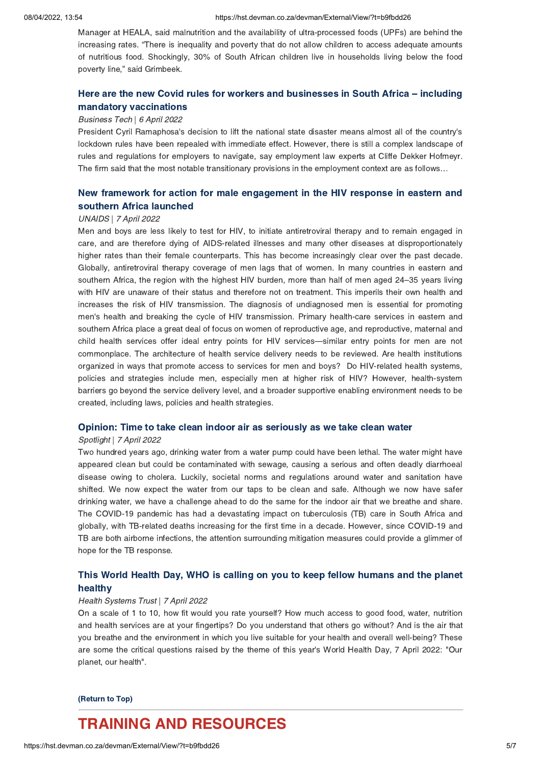Manager at HEALA, said malnutrition and the availability of ultra-processed foods (UPFs) are behind the increasing rates. "There is inequality and poverty that do not allow children to access adequate amounts of nutritious food. Shockingly, 30% of South African children live in households living below the food poverty line," said Grimbeek.

# Here are the new Covid rules for workers and [businesses](https://hst.devman.co.za/devman/external/?t=dd3ccf48) in South Africa – including mandatory vaccinations

## mandatory vaccinations Business Tech | 6 April 2022

President Cyril Ramaphosa's decision to lift the national state disaster means almost all of the country's lockdown rules have been repealed with immediate effect. However, there is still a complex landscape of rules and regulations for employers to navigate, say employment law experts at Cliffe Dekker Hofmeyr. The firm said that the most notable transitionary provisions in the employment context are as follows…

# New framework for action for male [engagement](https://hst.devman.co.za/devman/external/?t=2e0e19e9) in the HIV response in eastern and

# southern Africa launched UNAIDS | 7 April 2022

Men and boys are less likely to test for HIV, to initiate antiretroviral therapy and to remain engaged in care, and are therefore dying of AIDS-related illnesses and many other diseases at disproportionately higher rates than their female counterparts. This has become increasingly clear over the past decade. Globally, antiretroviral therapy coverage of men lags that of women. In many countries in eastern and southern Africa, the region with the highest HIV burden, more than half of men aged 24–35 years living with HIV are unaware of their status and therefore not on treatment. This imperils their own health and increases the risk of HIV transmission. The diagnosis of undiagnosed men is essential for promoting men's health and breaking the cycle of HIV transmission. Primary health-care services in eastern and southern Africa place a great deal of focus on women of reproductive age, and reproductive, maternal and child health services offer ideal entry points for HIV services—similar entry points for men are not commonplace. The architecture of health service delivery needs to be reviewed. Are health institutions organized in ways that promote access to services for men and boys? Do HIV-related health systems, policies and strategies include men, especially men at higher risk of HIV? However, health-system barriers go beyond the service delivery level, and a broader supportive enabling environment needs to be created, including laws, policies and health strategies.

## Opinion: Time to take clean indoor air as seriously as we take clean water Spotlight | 7 April 2022

Two hundred years ago, drinking water from a water pump could have been lethal. The water might have appeared clean but could be contaminated with sewage, causing a serious and often deadly diarrhoeal disease owing to cholera. Luckily, societal norms and regulations around water and sanitation have shifted. We now expect the water from our taps to be clean and safe. Although we now have safer drinking water, we have a challenge ahead to do the same for the indoor air that we breathe and share. The COVID-19 pandemic has had a devastating impact on tuberculosis (TB) care in South Africa and globally, with TB-related deaths increasing for the first time in a decade. However, since COVID-19 and TB are both airborne infections, the attention surrounding mitigation measures could provide a glimmer of hope for the TB response.

# This World Health Day, WHO is calling on you to keep fellow humanic and the planet.<br>healthy

# healthy Health Systems Trust | 7 April 2022

On a scale of 1 to 10, how fit would you rate yourself? How much access to good food, water, nutrition and health services are at your fingertips? Do you understand that others go without? And is the air that you breathe and the environment in which you live suitable for your health and overall well-being? These are some the critical questions raised by the theme of this year's World Health Day, 7 April 2022: "Our planet, our health".

# $\overline{\phantom{a}}$

# <span id="page-4-0"></span>**TRAINING AND RESOURCES**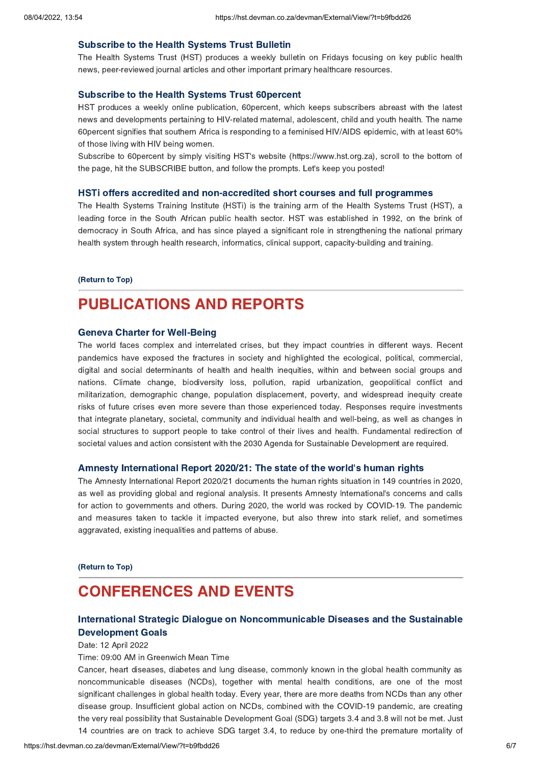Subscribe to the Health Systems Trust Bulletin The Health Systems Trust (HST) produces a weekly bulletin on Fridays focusing on key public health news, peer-reviewed journal articles and other important primary healthcare resources.

Subscribe to the Health Systems Trust 60percent HST produces a weekly online publication, 60percent, which keeps subscribers abreast with the latest news and developments pertaining to HIV-related maternal, adolescent, child and youth health. The name 60percent signifies that southern Africa is responding to a feminised HIV/AIDS epidemic, with at least 60% of those living with HIV being women.

Subscribe to 60percent by simply visiting HST's website (https://www.hst.org.za), scroll to the bottom of the page, hit the SUBSCRIBE button, and follow the prompts. Let's keep you posted!

The Health Systems Training Institute (HSTi) is the training arm of the Health Systems Trust (HST), a leading force in the South African public health sector. HST was established in 1992, on the brink of democracy in South Africa, and has since played a significant role in strengthening the national primary health system through health research, informatics, clinical support, capacity-building and training.

### (Return to Top)

# **PUBLICATIONS AND REPORTS** [PUBLICATIONS](https://hst.devman.co.za/devman/external/?t=28857117) AND REPORTS

The world faces complex and interrelated crises, but they impact countries in different ways. Recent pandemics have exposed the fractures in society and highlighted the ecological, political, commercial, digital and social determinants of health and health inequities, within and between social groups and nations. Climate change, biodiversity loss, pollution, rapid urbanization, geopolitical conflict and militarization, demographic change, population displacement, poverty, and widespread inequity create risks of future crises even more severe than those experienced today. Responses require investments that integrate planetary, societal, community and individual health and well-being, as well as changes in social structures to support people to take control of their lives and health. Fundamental redirection of societal values and action consistent with the 2030 Agenda for Sustainable Development are required.

# **Amnesty International Report 2020/21: The state of the world['](https://hst.devman.co.za/devman/external/?t=7956bbb8)s human rights**<br>The Amnesty International Report 2020/21 documents the human rights situation in 149 countries in 2020,

as well as providing global and regional analysis. It presents Amnesty lnternational's concerns and calls for action to governments and others. During 2020, the world was rocked by COVID-19. The pandemic and measures taken to tackle it impacted everyone, but also threw into stark relief, and sometimes aggravated, existing inequalities and patterns of abuse.

### (Return to Top)

# <span id="page-5-0"></span>**CONFERENCES AND EVENTS**

## International Strategic Dialogue on Noncommunicable Diseases and the Sustainable **Development Goals**

Development Goals Date: 12 April 2022

Time: 09:00 AM in Greenwich Mean Time

Cancer, heart diseases, diabetes and lung disease, commonly known in the global health community as noncommunicable diseases (NCDs), together with mental health conditions, are one of the most significant challenges in global health today. Every year, there are more deaths from NCDs than any other disease group. Insufficient global action on NCDs, combined with the COVID-19 pandemic, are creating the very real possibility that Sustainable Development Goal (SDG) targets 3.4 and 3.8 will not be met. Just 14 countries are on track to achieve SDG target 3.4, to reduce by one-third the premature mortality of